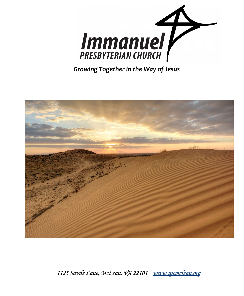



*1125 Savile Lane, McLean, VA 22101 [www.ipcmclean.org](http://www.ipcmclean.org)*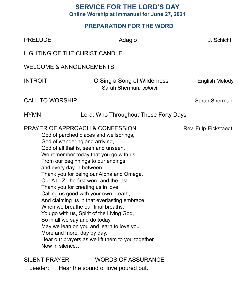# **SERVICE FOR THE LORD'S DAY**

**Online Worship at Immanuel for June 27, 2021**

## **PREPARATION FOR THE WORD**

| <b>PRELUDE</b>                                                                                                                                                                                                                                                                                                                                                                                                                                                                                                                                                                                                                                                                                                                                                                               | Adagio                                                | J. Schicht     |  |  |
|----------------------------------------------------------------------------------------------------------------------------------------------------------------------------------------------------------------------------------------------------------------------------------------------------------------------------------------------------------------------------------------------------------------------------------------------------------------------------------------------------------------------------------------------------------------------------------------------------------------------------------------------------------------------------------------------------------------------------------------------------------------------------------------------|-------------------------------------------------------|----------------|--|--|
| <b>LIGHTING OF THE CHRIST CANDLE</b>                                                                                                                                                                                                                                                                                                                                                                                                                                                                                                                                                                                                                                                                                                                                                         |                                                       |                |  |  |
| <b>WELCOME &amp; ANNOUNCEMENTS</b>                                                                                                                                                                                                                                                                                                                                                                                                                                                                                                                                                                                                                                                                                                                                                           |                                                       |                |  |  |
| <b>INTROIT</b>                                                                                                                                                                                                                                                                                                                                                                                                                                                                                                                                                                                                                                                                                                                                                                               | O Sing a Song of Wilderness<br>Sarah Sherman, soloist | English Melody |  |  |
| <b>CALL TO WORSHIP</b>                                                                                                                                                                                                                                                                                                                                                                                                                                                                                                                                                                                                                                                                                                                                                                       |                                                       | Sarah Sherman  |  |  |
| <b>HYMN</b>                                                                                                                                                                                                                                                                                                                                                                                                                                                                                                                                                                                                                                                                                                                                                                                  | Lord, Who Throughout These Forty Days                 |                |  |  |
| <b>PRAYER OF APPROACH &amp; CONFESSION</b><br>Rev. Fulp-Eickstaedt<br>God of parched places and wellsprings,<br>God of wandering and arriving,<br>God of all that is, seen and unseen,<br>We remember today that you go with us<br>From our beginnings to our endings<br>and every day in between.<br>Thank you for being our Alpha and Omega,<br>Our A to Z, the first word and the last.<br>Thank you for creating us in love,<br>Calling us good with your own breath,<br>And claiming us in that everlasting embrace<br>When we breathe our final breaths.<br>You go with us, Spirit of the Living God,<br>So in all we say and do today<br>May we lean on you and learn to love you<br>More and more, day by day.<br>Hear our prayers as we lift them to you together<br>Now in silence |                                                       |                |  |  |
| <b>SILENT PRAYER</b>                                                                                                                                                                                                                                                                                                                                                                                                                                                                                                                                                                                                                                                                                                                                                                         | <b>WORDS OF ASSURANCE</b>                             |                |  |  |

Leader: Hear the sound of love poured out.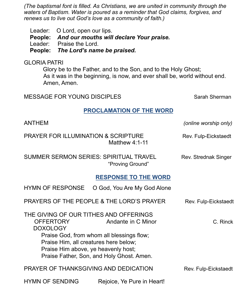*(The baptismal font is filled. As Christians, we are united in community through the waters of Baptism. Water is poured as a reminder that God claims, forgives, and renews us to live out God's love as a community of faith.)*

Leader: O Lord, open our lips. **People:** *And our mouths will declare Your praise.* Leader: Praise the Lord. **People:** *The Lord's name be praised.*

#### GLORIA PATRI

Glory be to the Father, and to the Son, and to the Holy Ghost; As it was in the beginning, is now, and ever shall be, world without end. Amen, Amen.

MESSAGE FOR YOUNG DISCIPLES Sarah Sherman

#### **PROCLAMATION OF THE WORD**

| <b>ANTHEM</b>                                                                                                                                                                                                                                                                             |                                           | (online worship only) |  |
|-------------------------------------------------------------------------------------------------------------------------------------------------------------------------------------------------------------------------------------------------------------------------------------------|-------------------------------------------|-----------------------|--|
| <b>PRAYER FOR ILLUMINATION &amp; SCRIPTURE</b><br>Matthew $4:1-11$                                                                                                                                                                                                                        |                                           | Rev. Fulp-Eickstaedt  |  |
| <b>SUMMER SERMON SERIES: SPIRITUAL TRAVEL</b>                                                                                                                                                                                                                                             | "Proving Ground"                          | Rev. Strednak Singer  |  |
|                                                                                                                                                                                                                                                                                           | <b>RESPONSE TO THE WORD</b>               |                       |  |
| <b>HYMN OF RESPONSE</b>                                                                                                                                                                                                                                                                   | O God, You Are My God Alone               |                       |  |
|                                                                                                                                                                                                                                                                                           | PRAYERS OF THE PEOPLE & THE LORD'S PRAYER | Rev. Fulp-Eickstaedt  |  |
| THE GIVING OF OUR TITHES AND OFFERINGS<br><b>OFFERTORY</b><br>Andante in C Minor<br>C. Rinck<br><b>DOXOLOGY</b><br>Praise God, from whom all blessings flow;<br>Praise Him, all creatures here below;<br>Praise Him above, ye heavenly host,<br>Praise Father, Son, and Holy Ghost. Amen. |                                           |                       |  |
|                                                                                                                                                                                                                                                                                           |                                           |                       |  |
| PRAYER OF THANKSGIVING AND DEDICATION<br>Rev. Fulp-Eickstaedt                                                                                                                                                                                                                             |                                           |                       |  |
| <b>HYMN OF SENDING</b>                                                                                                                                                                                                                                                                    | Rejoice, Ye Pure in Heart!                |                       |  |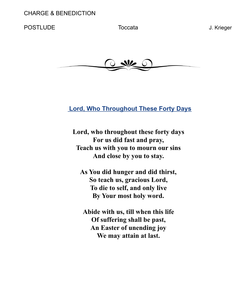### POSTLUDE Toccata Toccata J. Krieger



## **Lord, Who Throughout These Forty Days**

**Lord, who throughout these forty days For us did fast and pray, Teach us with you to mourn our sins And close by you to stay.**

**As You did hunger and did thirst, So teach us, gracious Lord, To die to self, and only live By Your most holy word.**

**Abide with us, till when this life Of suffering shall be past, An Easter of unending joy We may attain at last.**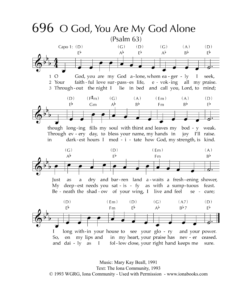

Music: Mary Kay Beall, 1991 Text: The Iona Community, 1993 © 1993 WGRG, Iona Community - Used with Permission - www.ionabooks.com